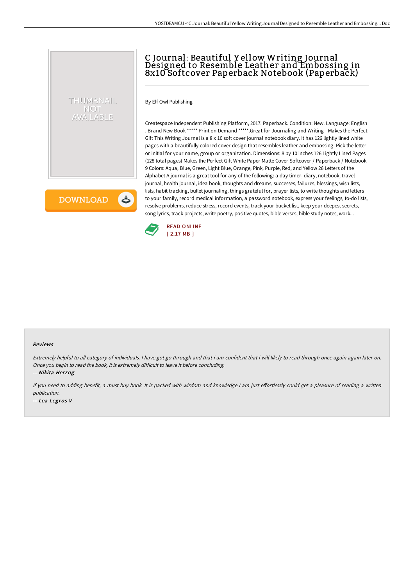## C Journal: Beautiful Y ellow Writing Journal Designed to Resemble Leather and Embossing in 8x10 Softcover Paperback Notebook (Paperback)

By Elf Owl Publishing

THUMBNAIL NOT AVAILABLE

**DOWNLOAD** 

い

Createspace Independent Publishing Platform, 2017. Paperback. Condition: New. Language: English . Brand New Book \*\*\*\*\* Print on Demand \*\*\*\*\*.Great for Journaling and Writing - Makes the Perfect Gift This Writing Journal is a 8 x 10 soft cover journal notebook diary. It has 126 lightly lined white pages with a beautifully colored cover design that resembles leather and embossing. Pick the letter or initial for your name, group or organization. Dimensions: 8 by 10 inches 126 Lightly Lined Pages (128 total pages) Makes the Perfect Gift White Paper Matte Cover Softcover / Paperback / Notebook 9 Colors: Aqua, Blue, Green, Light Blue, Orange, Pink, Purple, Red, and Yellow 26 Letters of the Alphabet A journal is a great tool for any of the following: a day timer, diary, notebook, travel journal, health journal, idea book, thoughts and dreams, successes, failures, blessings, wish lists, lists, habit tracking, bullet journaling, things grateful for, prayer lists, to write thoughts and letters to your family, record medical information, a password notebook, express your feelings, to-do lists, resolve problems, reduce stress, record events, track your bucket list, keep your deepest secrets, song lyrics, track projects, write poetry, positive quotes, bible verses, bible study notes, work...



## Reviews

Extremely helpful to all category of individuals. I have got go through and that i am confident that i will likely to read through once again again later on. Once you begin to read the book, it is extremely difficult to leave it before concluding.

-- Nikita Herzog

If you need to adding benefit, a must buy book. It is packed with wisdom and knowledge I am just effortlessly could get a pleasure of reading a written publication.

-- Lea Legros V